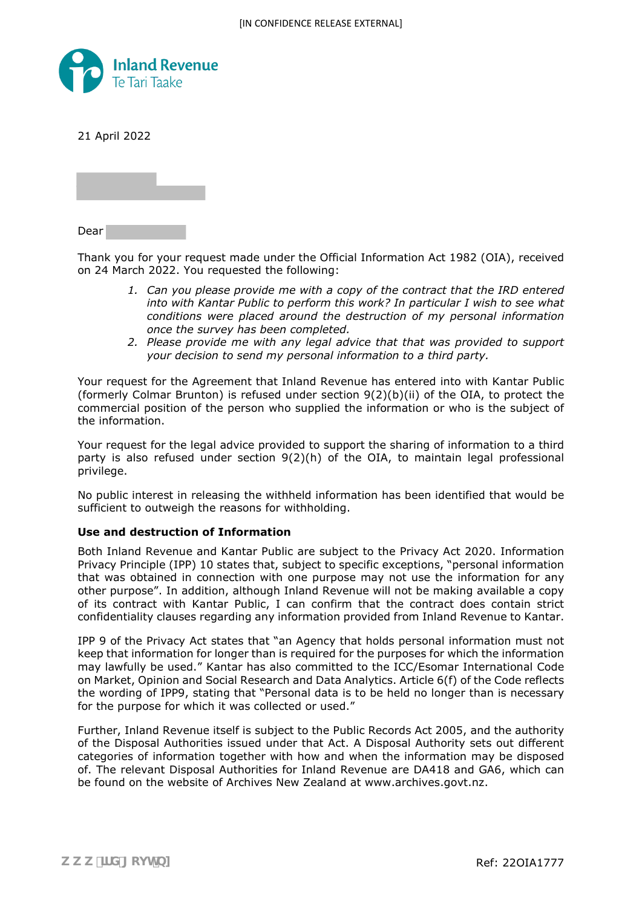

21 April 2022



Dear

Thank you for your request made under the Official Information Act 1982 (OIA), received on 24 March 2022. You requested the following:

- *1. Can you please provide me with a copy of the contract that the IRD entered into with Kantar Public to perform this work? In particular I wish to see what conditions were placed around the destruction of my personal information once the survey has been completed.*
- *2. Please provide me with any legal advice that that was provided to support your decision to send my personal information to a third party.*

Your request for the Agreement that Inland Revenue has entered into with Kantar Public (formerly Colmar Brunton) is refused under section 9(2)(b)(ii) of the OIA, to protect the commercial position of the person who supplied the information or who is the subject of the information.

Your request for the legal advice provided to support the sharing of information to a third party is also refused under section 9(2)(h) of the OIA, to maintain legal professional privilege.

No public interest in releasing the withheld information has been identified that would be sufficient to outweigh the reasons for withholding.

## **Use and destruction of Information**

Both Inland Revenue and Kantar Public are subject to the Privacy Act 2020. Information Privacy Principle (IPP) 10 states that, subject to specific exceptions, "personal information that was obtained in connection with one purpose may not use the information for any other purpose". In addition, although Inland Revenue will not be making available a copy of its contract with Kantar Public, I can confirm that the contract does contain strict confidentiality clauses regarding any information provided from Inland Revenue to Kantar.

IPP 9 of the Privacy Act states that "an Agency that holds personal information must not keep that information for longer than is required for the purposes for which the information may lawfully be used." Kantar has also committed to the ICC/Esomar International Code on Market, Opinion and Social Research and Data Analytics. Article 6(f) of the Code reflects the wording of IPP9, stating that "Personal data is to be held no longer than is necessary for the purpose for which it was collected or used."

Further, Inland Revenue itself is subject to the Public Records Act 2005, and the authority of the Disposal Authorities issued under that Act. A Disposal Authority sets out different categories of information together with how and when the information may be disposed of. The relevant Disposal Authorities for Inland Revenue are DA418 and GA6, which can be found on the website of Archives New Zealand at www.archives.govt.nz.